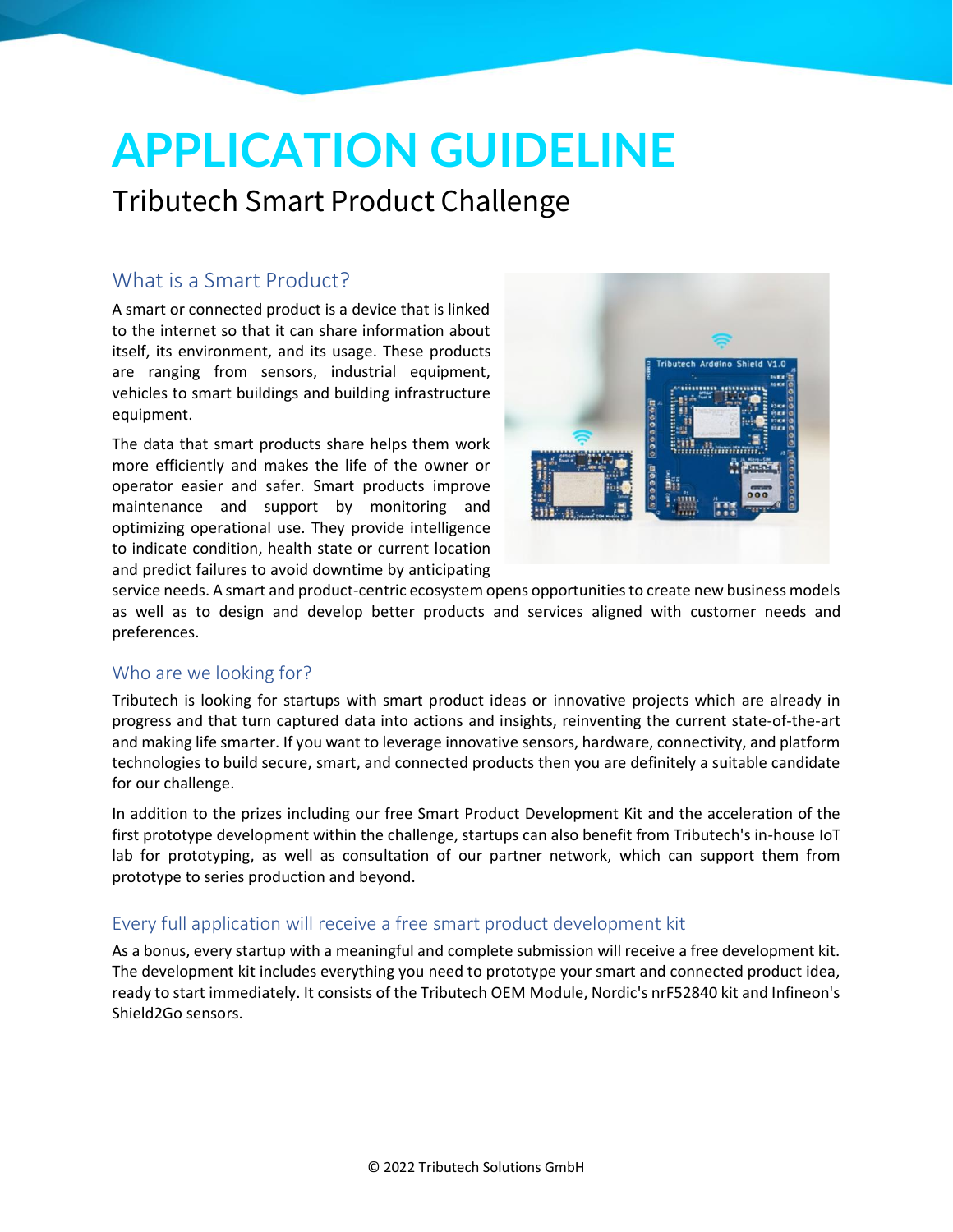# **APPLICATION GUIDELINE**

## Tributech Smart Product Challenge

### What is a Smart Product?

A smart or connected product is a device that is linked to the internet so that it can share information about itself, its environment, and its usage. These products are ranging from sensors, industrial equipment, vehicles to smart buildings and building infrastructure equipment.

The data that smart products share helps them work more efficiently and makes the life of the owner or operator easier and safer. Smart products improve maintenance and support by monitoring and optimizing operational use. They provide intelligence to indicate condition, health state or current location and predict failures to avoid downtime by anticipating



service needs. A smart and product-centric ecosystem opens opportunities to create new business models as well as to design and develop better products and services aligned with customer needs and preferences.

#### Who are we looking for?

Tributech is looking for startups with smart product ideas or innovative projects which are already in progress and that turn captured data into actions and insights, reinventing the current state-of-the-art and making life smarter. If you want to leverage innovative sensors, hardware, connectivity, and platform technologies to build secure, smart, and connected products then you are definitely a suitable candidate for our challenge.

In addition to the prizes including our free Smart Product Development Kit and the acceleration of the first prototype development within the challenge, startups can also benefit from Tributech's in-house IoT lab for prototyping, as well as consultation of our partner network, which can support them from prototype to series production and beyond.

#### Every full application will receive a free smart product development kit

As a bonus, every startup with a meaningful and complete submission will receive a free development kit. The development kit includes everything you need to prototype your smart and connected product idea, ready to start immediately. It consists of the Tributech OEM Module, Nordic's nrF52840 kit and Infineon's Shield2Go sensors.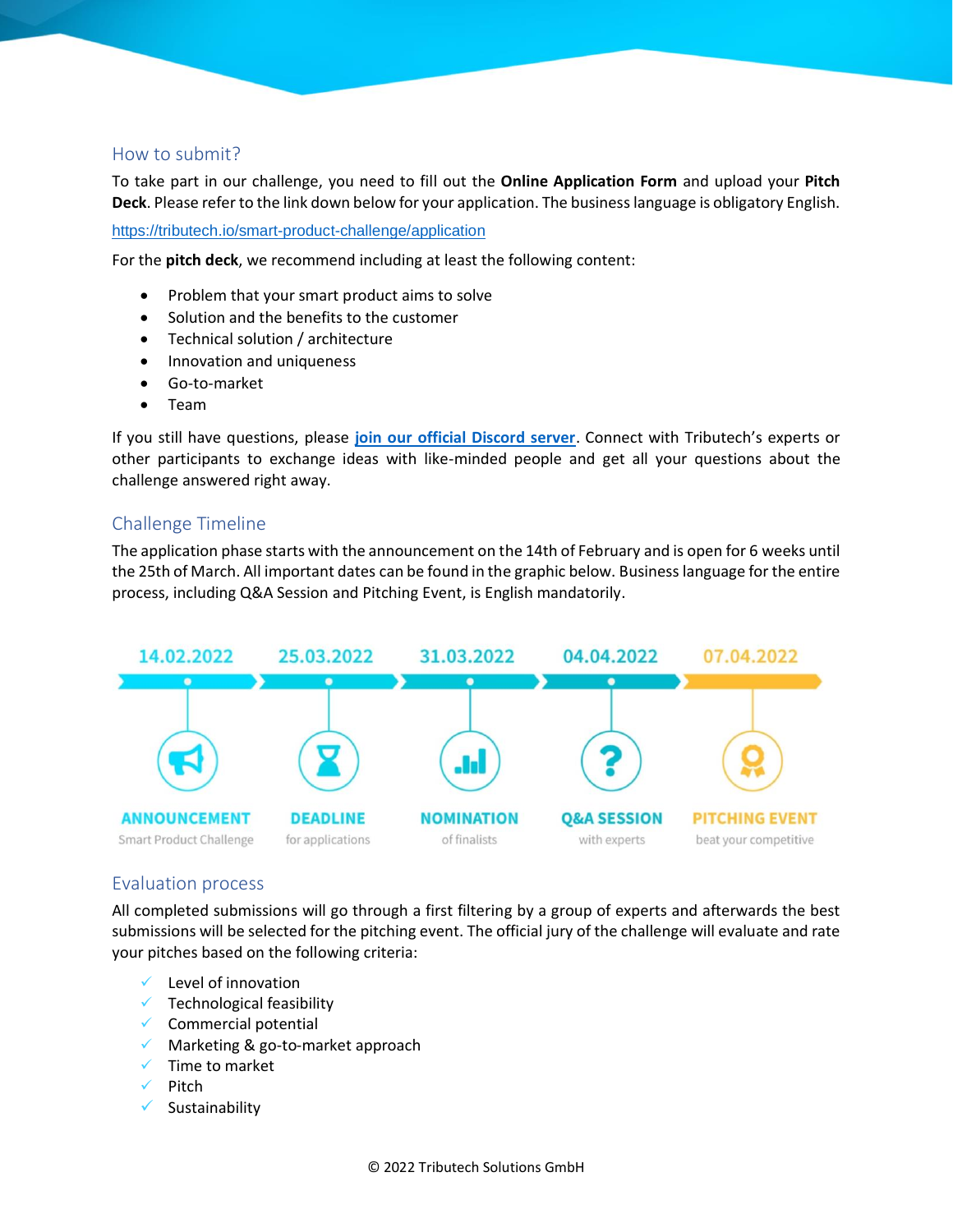#### How to submit?

To take part in our challenge, you need to fill out the **Online Application Form** and upload your **Pitch Deck**. Please refer to the link down below for your application. The business language is obligatory English.

<https://tributech.io/smart-product-challenge/application>

For the **pitch deck**, we recommend including at least the following content:

- Problem that your smart product aims to solve
- Solution and the benefits to the customer
- Technical solution / architecture
- Innovation and uniqueness
- Go-to-market
- Team

If you still have questions, please **[join our official Discord server](https://discord.com/invite/TgdMYeet96)**. Connect with Tributech's experts or other participants to exchange ideas with like-minded people and get all your questions about the challenge answered right away.

#### Challenge Timeline

The application phase starts with the announcement on the 14th of February and is open for 6 weeks until the 25th of March. All important dates can be found in the graphic below. Business language for the entire process, including Q&A Session and Pitching Event, is English mandatorily.



#### Evaluation process

All completed submissions will go through a first filtering by a group of experts and afterwards the best submissions will be selected for the pitching event. The official jury of the challenge will evaluate and rate your pitches based on the following criteria:

- $\checkmark$  Level of innovation
- $\checkmark$  Technological feasibility
- $\checkmark$  Commercial potential
- ✓ Marketing & go-to-market approach
- ✓ Time to market
- ✓ Pitch
- ✓ Sustainability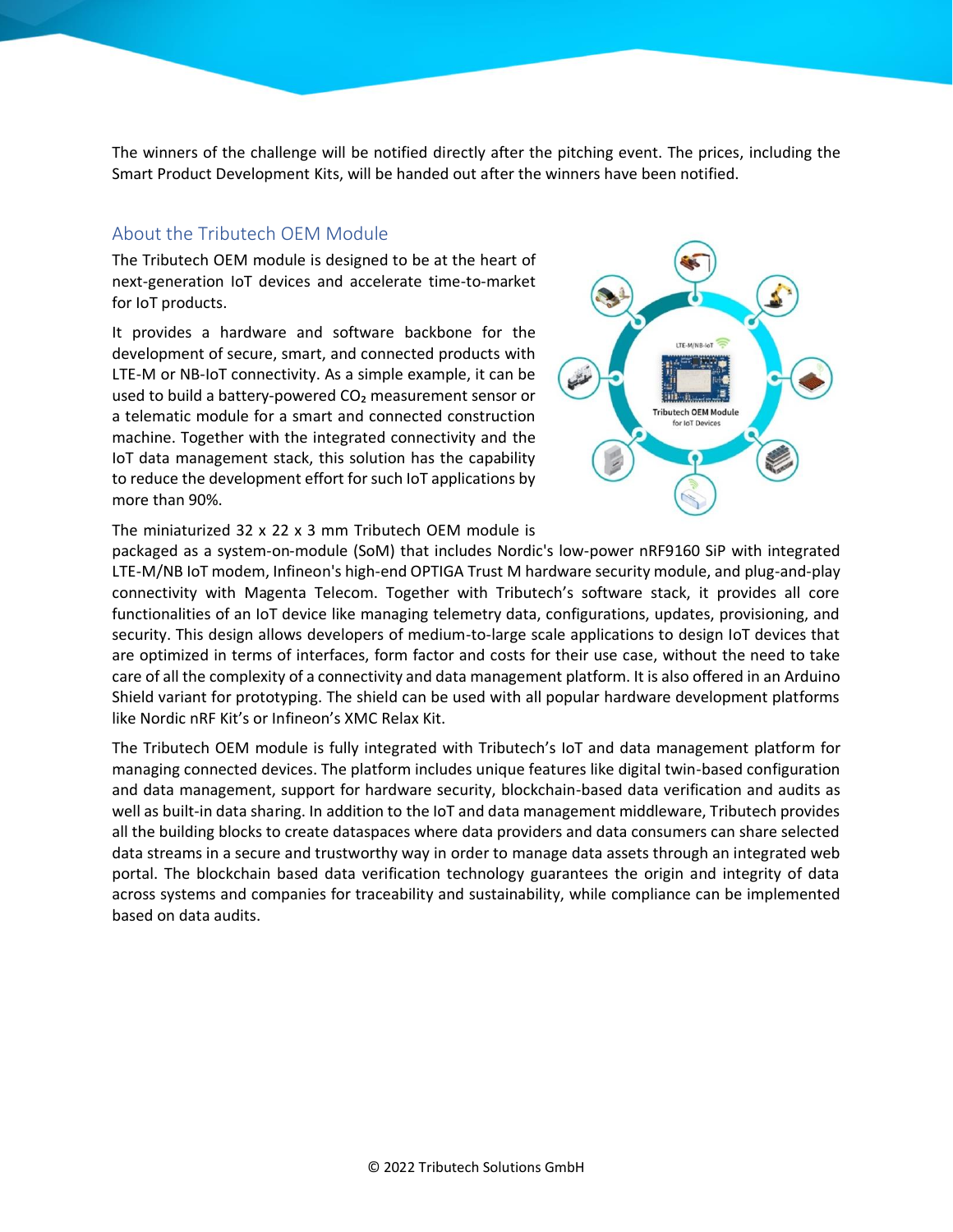The winners of the challenge will be notified directly after the pitching event. The prices, including the Smart Product Development Kits, will be handed out after the winners have been notified.

#### About the Tributech OEM Module

The Tributech OEM module is designed to be at the heart of next-generation IoT devices and accelerate time-to-market for IoT products.

It provides a hardware and software backbone for the development of secure, smart, and connected products with LTE-M or NB-IoT connectivity. As a simple example, it can be used to build a battery-powered CO<sub>2</sub> measurement sensor or a telematic module for a smart and connected construction machine. Together with the integrated connectivity and the IoT data management stack, this solution has the capability to reduce the development effort for such IoT applications by more than 90%.



The miniaturized 32 x 22 x 3 mm Tributech OEM module is

packaged as a system-on-module (SoM) that includes Nordic's low-power nRF9160 SiP with integrated LTE-M/NB IoT modem, Infineon's high-end OPTIGA Trust M hardware security module, and plug-and-play connectivity with Magenta Telecom. Together with Tributech's software stack, it provides all core functionalities of an IoT device like managing telemetry data, configurations, updates, provisioning, and security. This design allows developers of medium-to-large scale applications to design IoT devices that are optimized in terms of interfaces, form factor and costs for their use case, without the need to take care of all the complexity of a connectivity and data management platform. It is also offered in an Arduino Shield variant for prototyping. The shield can be used with all popular hardware development platforms like Nordic nRF Kit's or Infineon's XMC Relax Kit.

The Tributech OEM module is fully integrated with Tributech's IoT and data management platform for managing connected devices. The platform includes unique features like digital twin-based configuration and data management, support for hardware security, blockchain-based data verification and audits as well as built-in data sharing. In addition to the IoT and data management middleware, Tributech provides all the building blocks to create dataspaces where data providers and data consumers can share selected data streams in a secure and trustworthy way in order to manage data assets through an integrated web portal. The blockchain based data verification technology guarantees the origin and integrity of data across systems and companies for traceability and sustainability, while compliance can be implemented based on data audits.